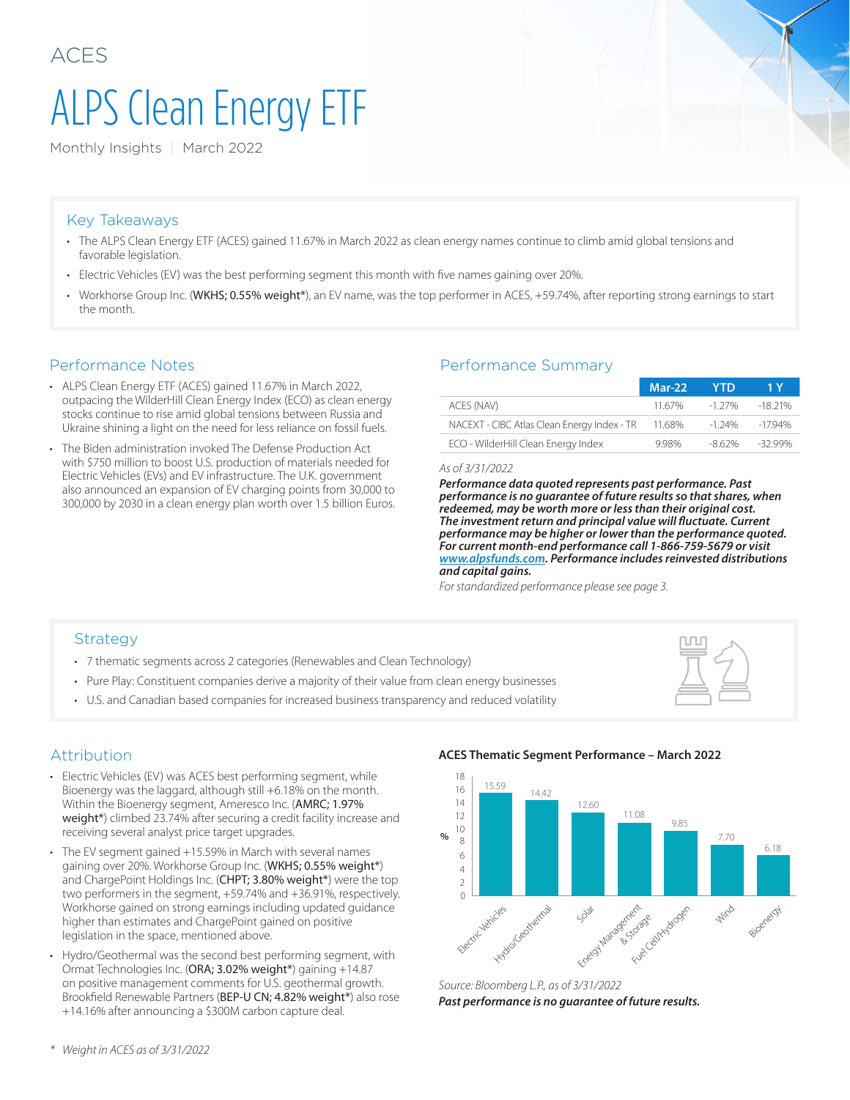# ALPS Clean Energy ETF

Monthly Insights | March 2022

#### Key Takeaways

- The ALPS Clean Energy ETF (ACES) gained 11.67% in March 2022 as clean energy names continue to climb amid global tensions and favorable legislation.
- Electric Vehicles (EV) was the best performing segment this month with five names gaining over 20%.
- Workhorse Group Inc. (WKHS; 0.55% weight\*), an EV name, was the top performer in ACES, +59.74%, after reporting strong earnings to start the month.

- ALPS Clean Energy ETF (ACES) gained 11.67% in March 2022, outpacing the WilderHill Clean Energy Index (ECO) as clean energy stocks continue to rise amid global tensions between Russia and Ukraine shining a light on the need for less reliance on fossil fuels.
- The Biden administration invoked The Defense Production Act with \$750 million to boost U.S. production of materials needed for Electric Vehicles (EVs) and EV infrastructure. The U.K. government also announced an expansion of EV charging points from 30,000 to 300,000 by 2030 in a clean energy plan worth over 1.5 billion Euros.

#### Performance Notes Performance Summary

|                                                    | <b>Mar-22</b> | - YTD  |           |
|----------------------------------------------------|---------------|--------|-----------|
| ACES (NAV)                                         | 11.67%        | -1 27% | $-1821\%$ |
| NACEXT - CIBC Atlas Clean Energy Index - TR 11.68% |               | -1.24% | -1794%    |
| ECO - WilderHill Clean Energy Index                | 998%          | -8.62% | -32.99%   |

#### *As of 3/31/2022*

*Performance data quoted represents past performance. Past performance is no guarantee of future results so that shares, when redeemed, may be worth more or less than their original cost. The investment return and principal value will fluctuate. Current performance may be higher or lower than the performance quoted. For current month-end performance call 1-866-759-5679 or visit www.alpsfunds.com. Performance includes reinvested distributions and capital gains.* 

*For standardized performance please see page 3.*

#### **Strategy**

- 7 thematic segments across 2 categories (Renewables and Clean Technology)
- Pure Play: Constituent companies derive a majority of their value from clean energy businesses
- U.S. and Canadian based companies for increased business transparency and reduced volatility



#### Attribution

- Electric Vehicles (EV) was ACES best performing segment, while Bioenergy was the laggard, although still +6.18% on the month. Within the Bioenergy segment, Ameresco Inc. (AMRC; 1.97% weight\*) climbed 23.74% after securing a credit facility increase and receiving several analyst price target upgrades.
- The EV segment gained +15.59% in March with several names gaining over 20%. Workhorse Group Inc. (WKHS; 0.55% weight\*) and ChargePoint Holdings Inc. (CHPT; 3.80% weight\*) were the top two performers in the segment, +59.74% and +36.91%, respectively. Workhorse gained on strong earnings including updated guidance higher than estimates and ChargePoint gained on positive legislation in the space, mentioned above.
- Hydro/Geothermal was the second best performing segment, with Ormat Technologies Inc. (ORA; 3.02% weight\*) gaining +14.87 on positive management comments for U.S. geothermal growth. Brookfield Renewable Partners (BEP-U CN; 4.82% weight\*) also rose +14.16% after announcing a \$300M carbon capture deal.

**ACES Thematic Segment Performance – March 2022**



*Source: Bloomberg L.P., as of 3/31/2022 Past performance is no guarantee of future results.*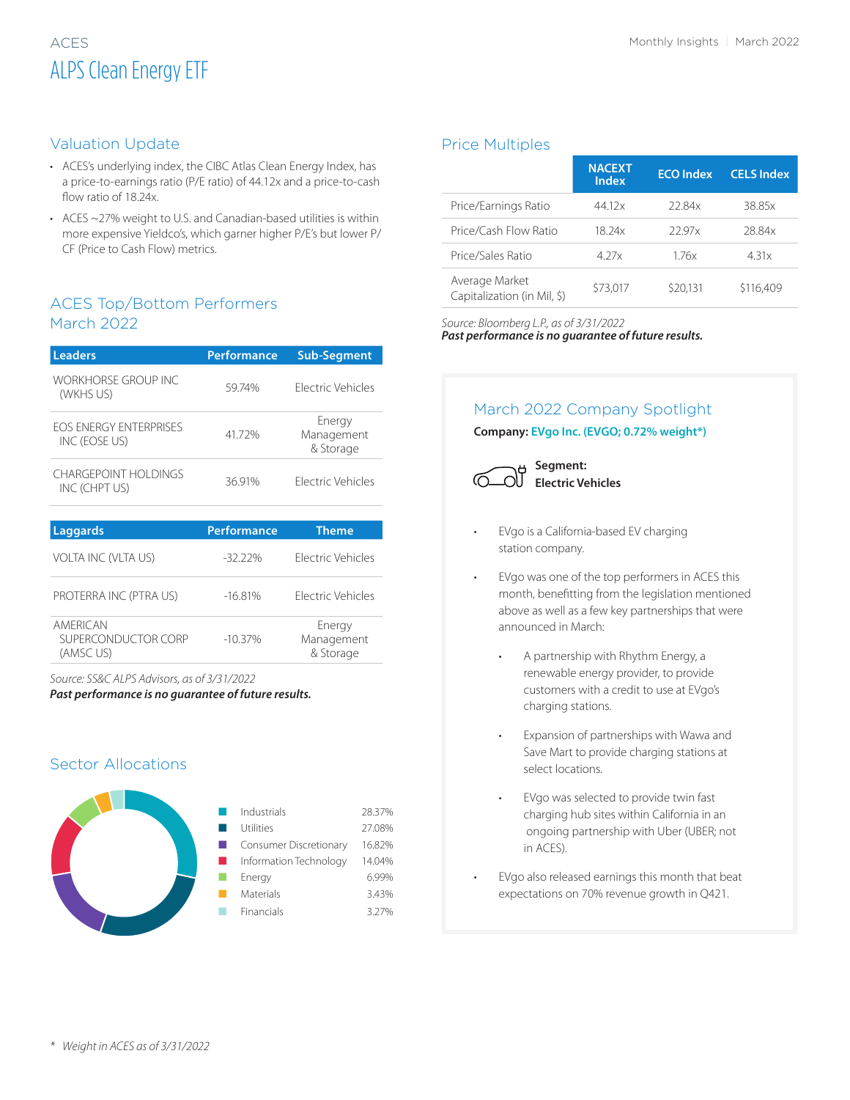# ALPS Clean Energy ETF

#### Valuation Update

- ACES's underlying index, the CIBC Atlas Clean Energy Index, has a price-to-earnings ratio (P/E ratio) of 44.12x and a price-to-cash flow ratio of 18.24x.
- ACES ~27% weight to U.S. and Canadian-based utilities is within more expensive Yieldco's, which garner higher P/E's but lower P/ CF (Price to Cash Flow) metrics.

#### ACES Top/Bottom Performers March 2022

| <b>Leaders</b>                                 | <b>Performance</b> | <b>Sub-Segment</b>                |
|------------------------------------------------|--------------------|-----------------------------------|
| <b>WORKHORSE GROUP INC.</b><br>(WKHS US)       | 59.74%             | <b>Flectric Vehicles</b>          |
| <b>FOS ENFRGY ENTERPRISES</b><br>INC (EOSE US) | 41.72%             | Energy<br>Management<br>& Storage |
| CHARGEPOINT HOI DINGS<br>INC (CHPT US)         | 36.91%             | <b>Flectric Vehicles</b>          |
| Laggards                                       | Performance        | Theme                             |
| <b>VOLTA INC (VLTA US)</b>                     | -32 22%            | <b>Flectric Vehicles</b>          |

| PROTERRA INC (PTRA US)                       | $-16.81%$  | Flectric Vehicles                 |
|----------------------------------------------|------------|-----------------------------------|
| AMFRICAN<br>SUPERCONDUCTOR CORP<br>(AMSC US) | $-10.37\%$ | Energy<br>Management<br>& Storage |

*Source: SS&C ALPS Advisors, as of 3/31/2022*

*Past performance is no guarantee of future results.*

#### Sector Allocations



#### Price Multiples

|                                               | <b>NACEXT</b><br><b>Index</b> | <b>ECO</b> Index | <b>CELS Index</b> |
|-----------------------------------------------|-------------------------------|------------------|-------------------|
| Price/Earnings Ratio                          | 44.12x                        | 22.84x           | 38.85x            |
| Price/Cash Flow Ratio                         | 18 24x                        | 2297x            | 2884x             |
| Price/Sales Ratio                             | 4 27x                         | 176x             | 4.31x             |
| Average Market<br>Capitalization (in Mil, \$) | \$73,017                      | \$20,131         | \$116,409         |

*Source: Bloomberg L.P., as of 3/31/2022*

*Past performance is no guarantee of future results.*

### March 2022 Company Spotlight

**Company: EVgo Inc. (EVGO; 0.72% weight\*)**



- EVgo is a California-based EV charging station company.
- EVgo was one of the top performers in ACES this month, benefitting from the legislation mentioned above as well as a few key partnerships that were announced in March:
	- A partnership with Rhythm Energy, a renewable energy provider, to provide customers with a credit to use at EVgo's charging stations.
	- Expansion of partnerships with Wawa and Save Mart to provide charging stations at select locations.
	- EVgo was selected to provide twin fast charging hub sites within California in an ongoing partnership with Uber (UBER; not in ACES).
	- EVgo also released earnings this month that beat expectations on 70% revenue growth in Q421.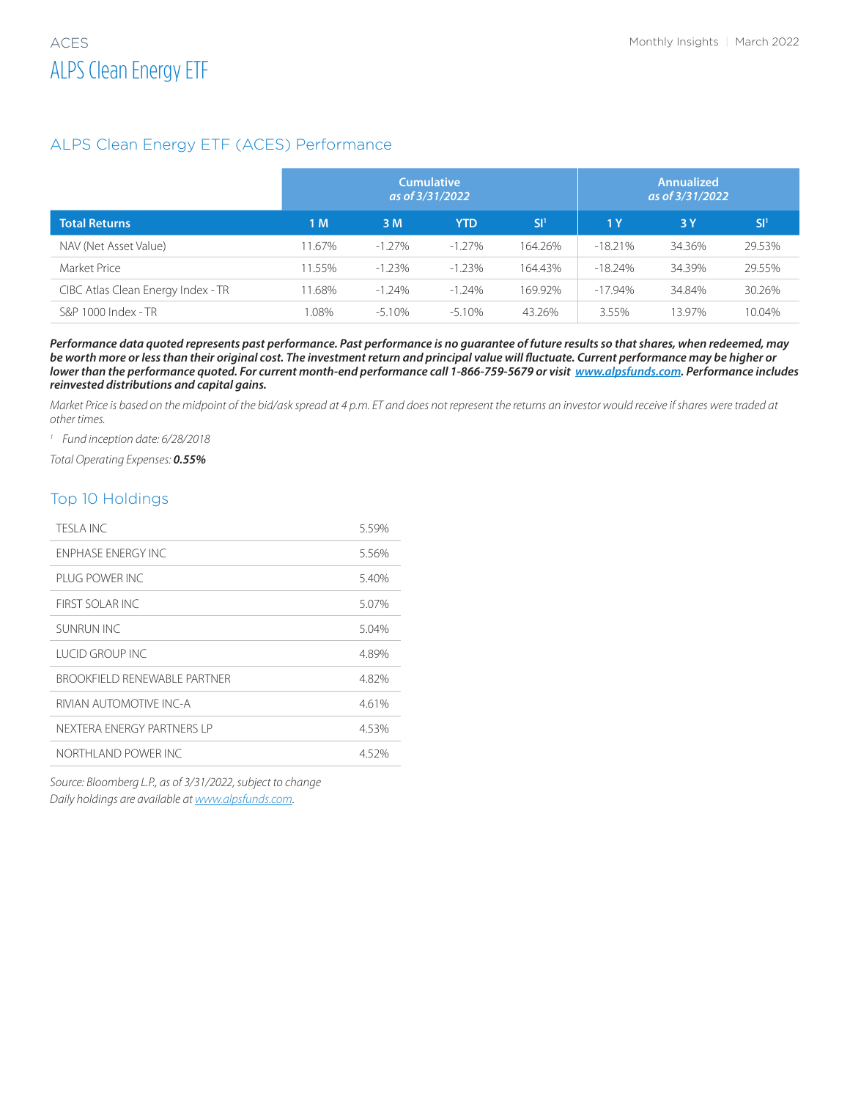#### ALPS Clean Energy ETF (ACES) Performance

|                                    | <b>Cumulative</b><br>as of 3/31/2022 |           |           | <b>Annualized</b><br>as of 3/31/2022 |            |        |        |
|------------------------------------|--------------------------------------|-----------|-----------|--------------------------------------|------------|--------|--------|
| <b>Total Returns</b>               | 1 <sub>M</sub>                       | 3 M       | YTD       | .SI'                                 | 1Y         | 3Y     | SI'    |
| NAV (Net Asset Value)              | 11.67%                               | $-1.27\%$ | $-1.27\%$ | 164.26%                              | $-18.21\%$ | 34.36% | 29.53% |
| Market Price                       | 11.55%                               | $-1.23%$  | $-1.23%$  | 164.43%                              | $-18.24\%$ | 34.39% | 29.55% |
| CIBC Atlas Clean Energy Index - TR | 11.68%                               | $-1.24%$  | $-1.24\%$ | 169.92%                              | $-17.94\%$ | 34.84% | 30.26% |
| S&P 1000 Index - TR                | .08%                                 | $-5.10%$  | $-5.10\%$ | 43.26%                               | 3.55%      | 13.97% | 10.04% |

*Performance data quoted represents past performance. Past performance is no guarantee of future results so that shares, when redeemed, may be worth more or less than their original cost. The investment return and principal value will fluctuate. Current performance may be higher or lower than the performance quoted. For current month-end performance call 1-866-759-5679 or visit www.alpsfunds.com. Performance includes reinvested distributions and capital gains.* 

*Market Price is based on the midpoint of the bid/ask spread at 4 p.m. ET and does not represent the returns an investor would receive if shares were traded at other times.*

*<sup>1</sup> Fund inception date: 6/28/2018*

*Total Operating Expenses: 0.55%*

#### Top 10 Holdings

| TESI A INC.                    | 5.59% |
|--------------------------------|-------|
| <b>ENPHASE ENERGY INC.</b>     | 5.56% |
| PI UG POWER INC                | 5.40% |
| FIRST SOLAR INC.               | 5.07% |
| SUNRUN INC                     | 5.04% |
| I UCID GROUP INC               | 4.89% |
| BROOKFIFI D RENEWARI E PARTNER | 4.82% |
| RIVIAN AUTOMOTIVE INC-A        | 4.61% |
| NEXTERA ENERGY PARTNERS I P    | 4.53% |
| NORTHI AND POWER INC           | 4.52% |

*Source: Bloomberg L.P., as of 3/31/2022, subject to change Daily holdings are available at www.alpsfunds.com.*